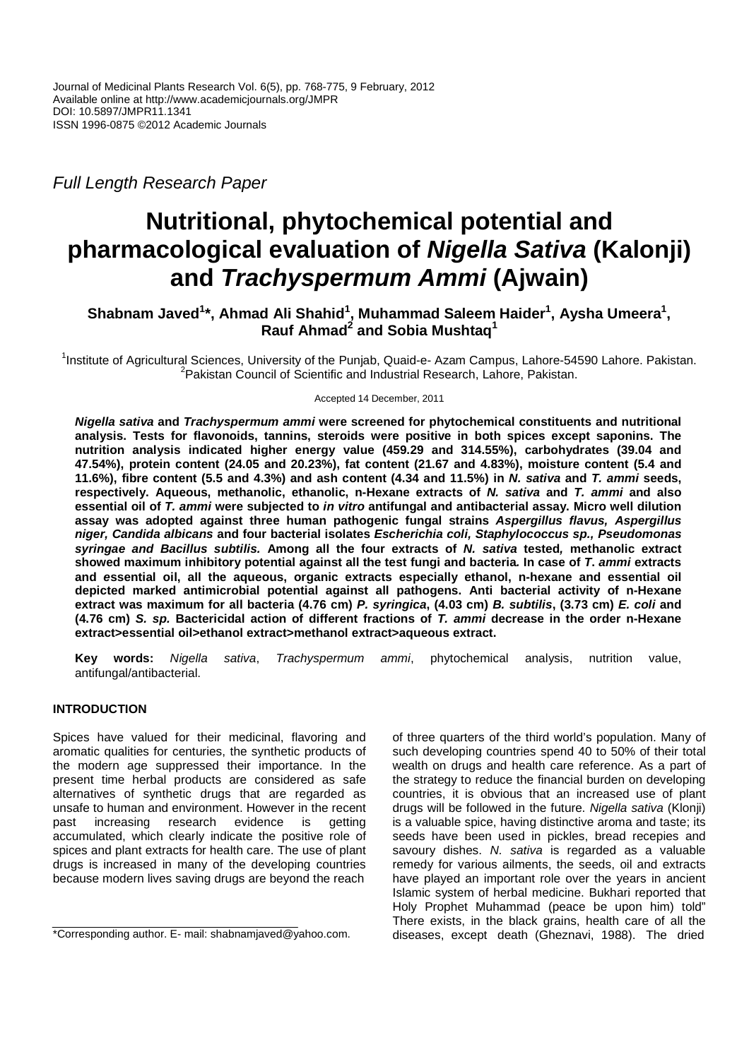Full Length Research Paper

# **Nutritional, phytochemical potential and pharmacological evaluation of Nigella Sativa (Kalonji) and Trachyspermum Ammi (Ajwain)**

## $\mathbf{S}$ habnam Javed<sup>1</sup>\*, Ahmad Ali Shahid<sup>1</sup>, Muhammad Saleem Haider<sup>1</sup>, Aysha Umeera<sup>1</sup>, **Rauf Ahmad<sup>2</sup> and Sobia Mushtaq<sup>1</sup>**

<sup>1</sup>Institute of Agricultural Sciences, University of the Punjab, Quaid-e- Azam Campus, Lahore-54590 Lahore. Pakistan. <sup>2</sup>Pakistan Council of Scientific and Industrial Research, Lahore, Pakistan.

Accepted 14 December, 2011

**Nigella sativa and Trachyspermum ammi were screened for phytochemical constituents and nutritional analysis. Tests for flavonoids, tannins, steroids were positive in both spices except saponins. The nutrition analysis indicated higher energy value (459.29 and 314.55%), carbohydrates (39.04 and 47.54%), protein content (24.05 and 20.23%), fat content (21.67 and 4.83%), moisture content (5.4 and 11.6%), fibre content (5.5 and 4.3%) and ash content (4.34 and 11.5%) in N. sativa and T. ammi seeds, respectively. Aqueous, methanolic, ethanolic, n-Hexane extracts of N. sativa and T. ammi and also essential oil of T. ammi were subjected to in vitro antifungal and antibacterial assay. Micro well dilution assay was adopted against three human pathogenic fungal strains Aspergillus flavus, Aspergillus niger, Candida albicans and four bacterial isolates Escherichia coli, Staphylococcus sp., Pseudomonas syringae and Bacillus subtilis. Among all the four extracts of N. sativa tested, methanolic extract showed maximum inhibitory potential against all the test fungi and bacteria. In case of T. ammi extracts and essential oil, all the aqueous, organic extracts especially ethanol, n-hexane and essential oil depicted marked antimicrobial potential against all pathogens. Anti bacterial activity of n-Hexane extract was maximum for all bacteria (4.76 cm) P. syringica, (4.03 cm) B. subtilis, (3.73 cm) E. coli and (4.76 cm) S. sp. Bactericidal action of different fractions of T. ammi decrease in the order n-Hexane extract>essential oil>ethanol extract>methanol extract>aqueous extract.** 

**Key words:** Nigella sativa, Trachyspermum ammi, phytochemical analysis, nutrition value, antifungal/antibacterial.

## **INTRODUCTION**

Spices have valued for their medicinal, flavoring and aromatic qualities for centuries, the synthetic products of the modern age suppressed their importance. In the present time herbal products are considered as safe alternatives of synthetic drugs that are regarded as unsafe to human and environment. However in the recent past increasing research evidence is getting accumulated, which clearly indicate the positive role of spices and plant extracts for health care. The use of plant drugs is increased in many of the developing countries because modern lives saving drugs are beyond the reach

of three quarters of the third world's population. Many of such developing countries spend 40 to 50% of their total wealth on drugs and health care reference. As a part of the strategy to reduce the financial burden on developing countries, it is obvious that an increased use of plant drugs will be followed in the future. Nigella sativa (Klonji) is a valuable spice, having distinctive aroma and taste; its seeds have been used in pickles, bread recepies and savoury dishes. N. sativa is regarded as a valuable remedy for various ailments, the seeds, oil and extracts have played an important role over the years in ancient Islamic system of herbal medicine. Bukhari reported that Holy Prophet Muhammad (peace be upon him) told" There exists, in the black grains, health care of all the diseases, except death (Gheznavi, 1988).The dried

<sup>\*</sup>Corresponding author. E- mail: shabnamjaved@yahoo.com.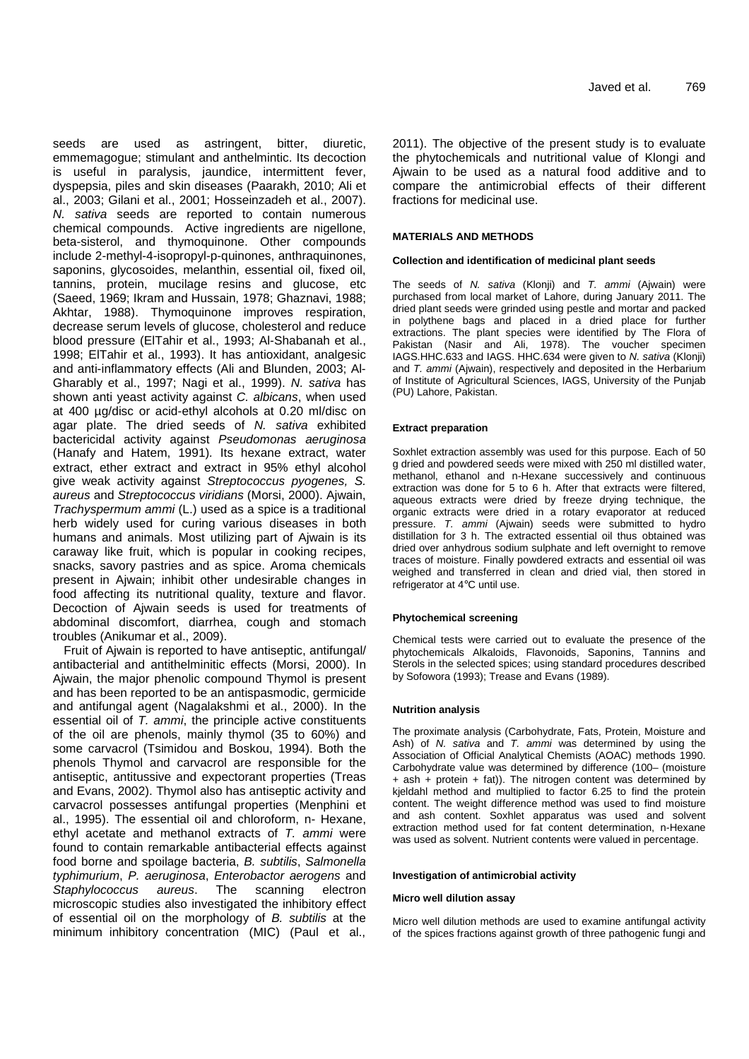seeds are used as astringent, bitter, diuretic, emmemagogue; stimulant and anthelmintic. Its decoction is useful in paralysis, jaundice, intermittent fever, dyspepsia, piles and skin diseases (Paarakh, 2010; Ali et al., 2003; Gilani et al., 2001; Hosseinzadeh et al., 2007). N. sativa seeds are reported to contain numerous chemical compounds. Active ingredients are nigellone, beta-sisterol, and thymoquinone. Other compounds include 2-methyl-4-isopropyl-p-quinones, anthraquinones, saponins, glycosoides, melanthin, essential oil, fixed oil, tannins, protein, mucilage resins and glucose, etc (Saeed, 1969; Ikram and Hussain, 1978; Ghaznavi, 1988; Akhtar, 1988). Thymoquinone improves respiration, decrease serum levels of glucose, cholesterol and reduce blood pressure (ElTahir et al., 1993; Al-Shabanah et al., 1998; ElTahir et al., 1993). It has antioxidant, analgesic and anti-inflammatory effects (Ali and Blunden, 2003; Al-Gharably et al., 1997; Nagi et al., 1999). N. sativa has shown anti yeast activity against C. albicans, when used at 400 µg/disc or acid-ethyl alcohols at 0.20 ml/disc on agar plate. The dried seeds of N. sativa exhibited bactericidal activity against Pseudomonas aeruginosa (Hanafy and Hatem, 1991). Its hexane extract, water extract, ether extract and extract in 95% ethyl alcohol give weak activity against Streptococcus pyogenes, S. aureus and Streptococcus viridians (Morsi, 2000). Ajwain, Trachyspermum ammi (L.) used as a spice is a traditional herb widely used for curing various diseases in both humans and animals. Most utilizing part of Ajwain is its caraway like fruit, which is popular in cooking recipes, snacks, savory pastries and as spice. Aroma chemicals present in Ajwain; inhibit other undesirable changes in food affecting its nutritional quality, texture and flavor. Decoction of Ajwain seeds is used for treatments of abdominal discomfort, diarrhea, cough and stomach troubles (Anikumar et al., 2009).

Fruit of Ajwain is reported to have antiseptic, antifungal/ antibacterial and antithelminitic effects (Morsi, 2000). In Ajwain, the major phenolic compound Thymol is present and has been reported to be an antispasmodic, germicide and antifungal agent (Nagalakshmi et al., 2000). In the essential oil of T. ammi, the principle active constituents of the oil are phenols, mainly thymol (35 to 60%) and some carvacrol (Tsimidou and Boskou, 1994). Both the phenols Thymol and carvacrol are responsible for the antiseptic, antitussive and expectorant properties (Treas and Evans, 2002). Thymol also has antiseptic activity and carvacrol possesses antifungal properties (Menphini et al., 1995). The essential oil and chloroform, n- Hexane, ethyl acetate and methanol extracts of T. ammi were found to contain remarkable antibacterial effects against food borne and spoilage bacteria, B. subtilis, Salmonella typhimurium, P. aeruginosa, Enterobactor aerogens and Staphylococcus aureus. The scanning electron microscopic studies also investigated the inhibitory effect of essential oil on the morphology of B. subtilis at the minimum inhibitory concentration (MIC) (Paul et al.,

2011). The objective of the present study is to evaluate the phytochemicals and nutritional value of Klongi and Ajwain to be used as a natural food additive and to compare the antimicrobial effects of their different fractions for medicinal use.

#### **MATERIALS AND METHODS**

#### **Collection and identification of medicinal plant seeds**

The seeds of N. sativa (Klonji) and T. ammi (Ajwain) were purchased from local market of Lahore, during January 2011. The dried plant seeds were grinded using pestle and mortar and packed in polythene bags and placed in a dried place for further extractions. The plant species were identified by The Flora of Pakistan (Nasir and Ali, 1978). The voucher specimen IAGS.HHC.633 and IAGS. HHC.634 were given to N. sativa (Klonji) and T. ammi (Ajwain), respectively and deposited in the Herbarium of Institute of Agricultural Sciences, IAGS, University of the Punjab (PU) Lahore, Pakistan.

#### **Extract preparation**

Soxhlet extraction assembly was used for this purpose. Each of 50 g dried and powdered seeds were mixed with 250 ml distilled water, methanol, ethanol and n-Hexane successively and continuous extraction was done for 5 to 6 h. After that extracts were filtered, aqueous extracts were dried by freeze drying technique, the organic extracts were dried in a rotary evaporator at reduced pressure. T. ammi (Ajwain) seeds were submitted to hydro distillation for 3 h. The extracted essential oil thus obtained was dried over anhydrous sodium sulphate and left overnight to remove traces of moisture. Finally powdered extracts and essential oil was weighed and transferred in clean and dried vial, then stored in refrigerator at 4°C until use.

#### **Phytochemical screening**

Chemical tests were carried out to evaluate the presence of the phytochemicals Alkaloids, Flavonoids, Saponins, Tannins and Sterols in the selected spices; using standard procedures described by Sofowora (1993); Trease and Evans (1989).

#### **Nutrition analysis**

The proximate analysis (Carbohydrate, Fats, Protein, Moisture and Ash) of N. sativa and T. ammi was determined by using the Association of Official Analytical Chemists (AOAC) methods 1990. Carbohydrate value was determined by difference (100– (moisture  $+$  ash  $+$  protein  $+$  fat)). The nitrogen content was determined by kjeldahl method and multiplied to factor 6.25 to find the protein content. The weight difference method was used to find moisture and ash content. Soxhlet apparatus was used and solvent extraction method used for fat content determination, n-Hexane was used as solvent. Nutrient contents were valued in percentage.

#### **Investigation of antimicrobial activity**

#### **Micro well dilution assay**

Micro well dilution methods are used to examine antifungal activity of the spices fractions against growth of three pathogenic fungi and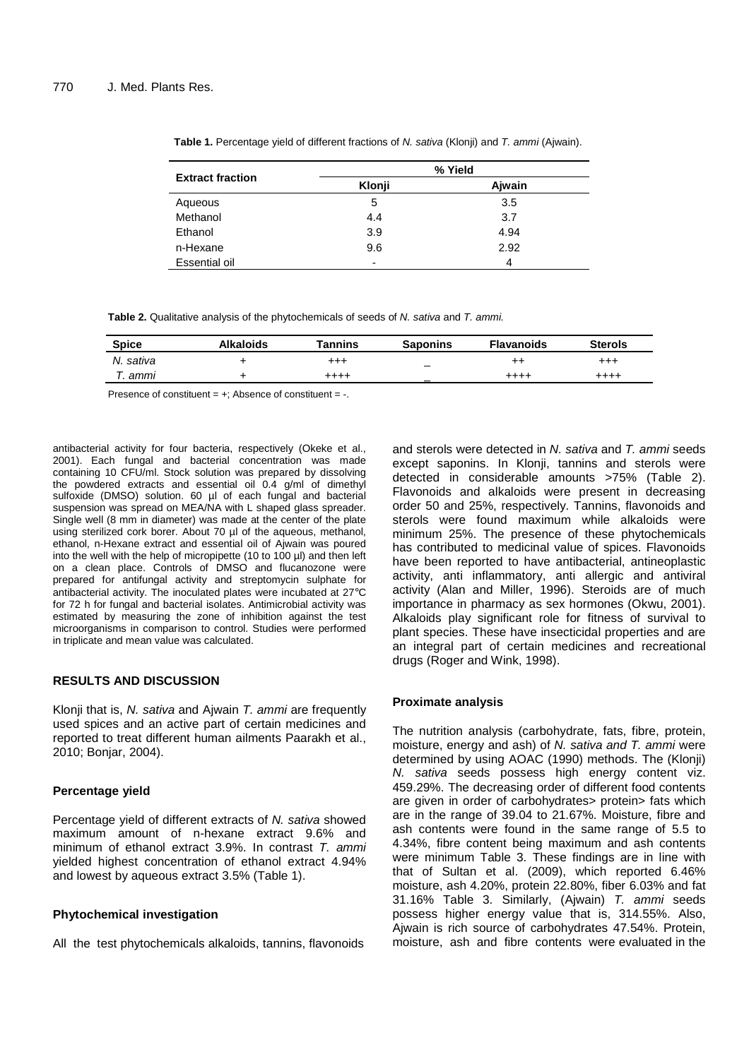| <b>Extract fraction</b> | % Yield |        |  |
|-------------------------|---------|--------|--|
|                         | Klonji  | Aiwain |  |
| Aqueous                 | 5       | 3.5    |  |
| Methanol                | 4.4     | 3.7    |  |
| Ethanol                 | 3.9     | 4.94   |  |
| n-Hexane                | 9.6     | 2.92   |  |
| Essential oil           | -       | 4      |  |

Table 1. Percentage yield of different fractions of N. sativa (Klonji) and T. ammi (Ajwain).

**Table 2.** Qualitative analysis of the phytochemicals of seeds of N. sativa and T. ammi.

| <b>Spice</b> | <b>Alkaloids</b> | <b>Tannins</b> | <b>Saponins</b>                 | <b>Flavanoids</b> | <b>Sterols</b> |
|--------------|------------------|----------------|---------------------------------|-------------------|----------------|
| N. sativa    |                  | $^{+++}$       | $\hspace{0.1mm}-\hspace{0.1mm}$ | $^{++}$           | $^{+++}$       |
| ". ammi      |                  | $^{+++}$       |                                 | $^{++++}$         | $^{+++}$       |

Presence of constituent = +; Absence of constituent = -.

antibacterial activity for four bacteria, respectively (Okeke et al., 2001). Each fungal and bacterial concentration was made containing 10 CFU/ml. Stock solution was prepared by dissolving the powdered extracts and essential oil 0.4 g/ml of dimethyl sulfoxide (DMSO) solution. 60 µl of each fungal and bacterial suspension was spread on MEA/NA with L shaped glass spreader. Single well (8 mm in diameter) was made at the center of the plate using sterilized cork borer. About 70 µl of the aqueous, methanol, ethanol, n-Hexane extract and essential oil of Ajwain was poured into the well with the help of micropipette (10 to 100 µl) and then left on a clean place. Controls of DMSO and flucanozone were prepared for antifungal activity and streptomycin sulphate for antibacterial activity. The inoculated plates were incubated at 27°C for 72 h for fungal and bacterial isolates. Antimicrobial activity was estimated by measuring the zone of inhibition against the test microorganisms in comparison to control. Studies were performed in triplicate and mean value was calculated.

## **RESULTS AND DISCUSSION**

Klonji that is, N. sativa and Ajwain T. ammi are frequently used spices and an active part of certain medicines and reported to treat different human ailments Paarakh et al., 2010; Bonjar, 2004).

## **Percentage yield**

Percentage yield of different extracts of N. sativa showed maximum amount of n-hexane extract 9.6% and minimum of ethanol extract 3.9%. In contrast T. ammi yielded highest concentration of ethanol extract 4.94% and lowest by aqueous extract 3.5% (Table 1).

## **Phytochemical investigation**

All the test phytochemicals alkaloids, tannins, flavonoids

and sterols were detected in N. sativa and T. ammi seeds except saponins. In Klonji, tannins and sterols were detected in considerable amounts >75% (Table 2). Flavonoids and alkaloids were present in decreasing order 50 and 25%, respectively. Tannins, flavonoids and sterols were found maximum while alkaloids were minimum 25%. The presence of these phytochemicals has contributed to medicinal value of spices. Flavonoids have been reported to have antibacterial, antineoplastic activity, anti inflammatory, anti allergic and antiviral activity (Alan and Miller, 1996). Steroids are of much importance in pharmacy as sex hormones (Okwu, 2001). Alkaloids play significant role for fitness of survival to plant species. These have insecticidal properties and are an integral part of certain medicines and recreational drugs (Roger and Wink, 1998).

## **Proximate analysis**

The nutrition analysis (carbohydrate, fats, fibre, protein, moisture, energy and ash) of N. sativa and T. ammi were determined by using AOAC (1990) methods. The (Klonji) N. sativa seeds possess high energy content viz. 459.29%. The decreasing order of different food contents are given in order of carbohydrates> protein> fats which are in the range of 39.04 to 21.67%. Moisture, fibre and ash contents were found in the same range of 5.5 to 4.34%, fibre content being maximum and ash contents were minimum Table 3. These findings are in line with that of Sultan et al. (2009), which reported 6.46% moisture, ash 4.20%, protein 22.80%, fiber 6.03% and fat 31.16% Table 3. Similarly, (Ajwain) T. ammi seeds possess higher energy value that is, 314.55%. Also, Ajwain is rich source of carbohydrates 47.54%. Protein, moisture, ash and fibre contents were evaluated in the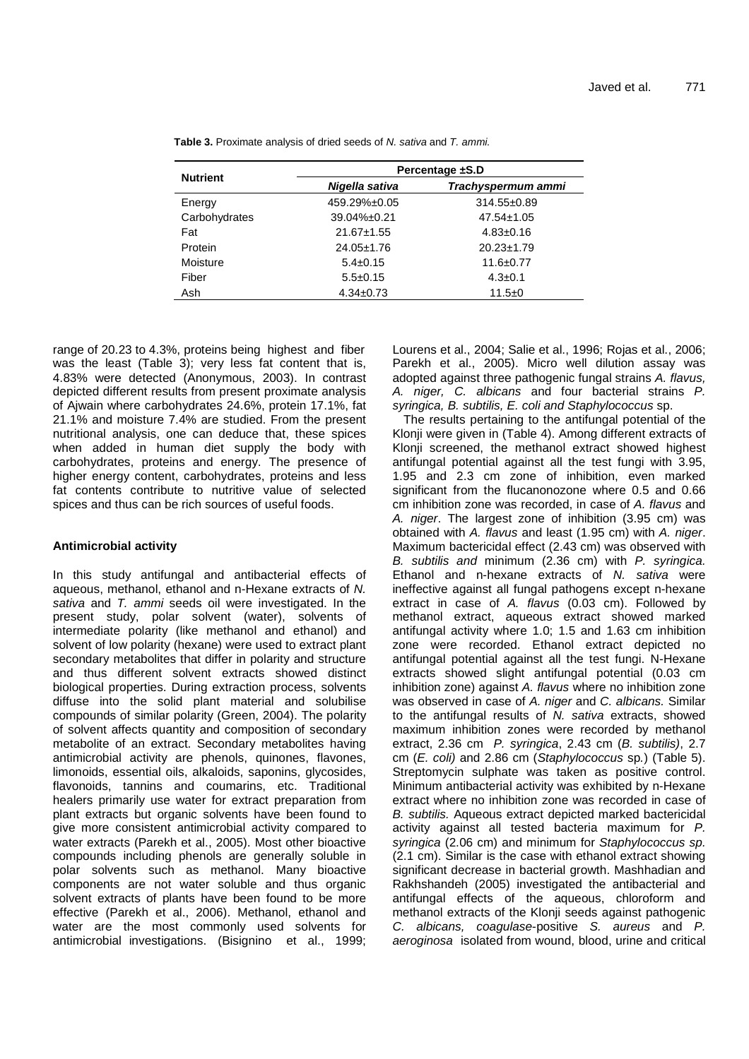| <b>Nutrient</b> | Percentage ±S.D  |                    |  |  |
|-----------------|------------------|--------------------|--|--|
|                 | Nigella sativa   | Trachyspermum ammi |  |  |
| Energy          | 459.29%±0.05     | 314.55±0.89        |  |  |
| Carbohydrates   | 39.04%±0.21      | $47.54 \pm 1.05$   |  |  |
| Fat             | $21.67 \pm 1.55$ | $4.83 \pm 0.16$    |  |  |
| Protein         | $24.05 \pm 1.76$ | $20.23 \pm 1.79$   |  |  |
| Moisture        | $5.4 \pm 0.15$   | $11.6 + 0.77$      |  |  |
| Fiber           | $5.5 \pm 0.15$   | $4.3 \pm 0.1$      |  |  |
| Ash             | $4.34 \pm 0.73$  | $11.5 \pm 0$       |  |  |

Table 3. Proximate analysis of dried seeds of N. sativa and T. ammi.

range of 20.23 to 4.3%, proteins being highest and fiber was the least (Table 3); very less fat content that is, 4.83% were detected (Anonymous, 2003). In contrast depicted different results from present proximate analysis of Ajwain where carbohydrates 24.6%, protein 17.1%, fat 21.1% and moisture 7.4% are studied. From the present nutritional analysis, one can deduce that, these spices when added in human diet supply the body with carbohydrates, proteins and energy. The presence of higher energy content, carbohydrates, proteins and less fat contents contribute to nutritive value of selected spices and thus can be rich sources of useful foods.

## **Antimicrobial activity**

In this study antifungal and antibacterial effects of aqueous, methanol, ethanol and n-Hexane extracts of N. sativa and T. ammi seeds oil were investigated. In the present study, polar solvent (water), solvents of intermediate polarity (like methanol and ethanol) and solvent of low polarity (hexane) were used to extract plant secondary metabolites that differ in polarity and structure and thus different solvent extracts showed distinct biological properties. During extraction process, solvents diffuse into the solid plant material and solubilise compounds of similar polarity (Green, 2004). The polarity of solvent affects quantity and composition of secondary metabolite of an extract. Secondary metabolites having antimicrobial activity are phenols, quinones, flavones, limonoids, essential oils, alkaloids, saponins, glycosides, flavonoids, tannins and coumarins, etc. Traditional healers primarily use water for extract preparation from plant extracts but organic solvents have been found to give more consistent antimicrobial activity compared to water extracts (Parekh et al., 2005). Most other bioactive compounds including phenols are generally soluble in polar solvents such as methanol. Many bioactive components are not water soluble and thus organic solvent extracts of plants have been found to be more effective (Parekh et al., 2006). Methanol, ethanol and water are the most commonly used solvents for antimicrobial investigations. (Bisignino et al., 1999; Lourens et al., 2004; Salie et al., 1996; Rojas et al., 2006; Parekh et al., 2005). Micro well dilution assay was adopted against three pathogenic fungal strains A. flavus, A. niger, C. albicans and four bacterial strains P. syringica, B. subtilis, E. coli and Staphylococcus sp.

The results pertaining to the antifungal potential of the Klonji were given in (Table 4). Among different extracts of Klonji screened, the methanol extract showed highest antifungal potential against all the test fungi with 3.95, 1.95 and 2.3 cm zone of inhibition, even marked significant from the flucanonozone where 0.5 and 0.66 cm inhibition zone was recorded, in case of A. flavus and A. niger. The largest zone of inhibition (3.95 cm) was obtained with A. flavus and least (1.95 cm) with A. niger. Maximum bactericidal effect (2.43 cm) was observed with B. subtilis and minimum (2.36 cm) with P. syringica. Ethanol and n-hexane extracts of N. sativa were ineffective against all fungal pathogens except n-hexane extract in case of A. flavus (0.03 cm). Followed by methanol extract, aqueous extract showed marked antifungal activity where 1.0; 1.5 and 1.63 cm inhibition zone were recorded. Ethanol extract depicted no antifungal potential against all the test fungi. N-Hexane extracts showed slight antifungal potential (0.03 cm inhibition zone) against A. flavus where no inhibition zone was observed in case of A. niger and C. albicans. Similar to the antifungal results of N. sativa extracts, showed maximum inhibition zones were recorded by methanol extract, 2.36 cm P. syringica, 2.43 cm (B. subtilis), 2.7 cm (E. coli) and 2.86 cm (Staphylococcus sp.) (Table 5). Streptomycin sulphate was taken as positive control. Minimum antibacterial activity was exhibited by n-Hexane extract where no inhibition zone was recorded in case of B. subtilis. Aqueous extract depicted marked bactericidal activity against all tested bacteria maximum for P. syringica (2.06 cm) and minimum for Staphylococcus sp. (2.1 cm). Similar is the case with ethanol extract showing significant decrease in bacterial growth. Mashhadian and Rakhshandeh (2005) investigated the antibacterial and antifungal effects of the aqueous, chloroform and methanol extracts of the Klonji seeds against pathogenic C. albicans, coagulase-positive S. aureus and P. aeroginosa isolated from wound, blood, urine and critical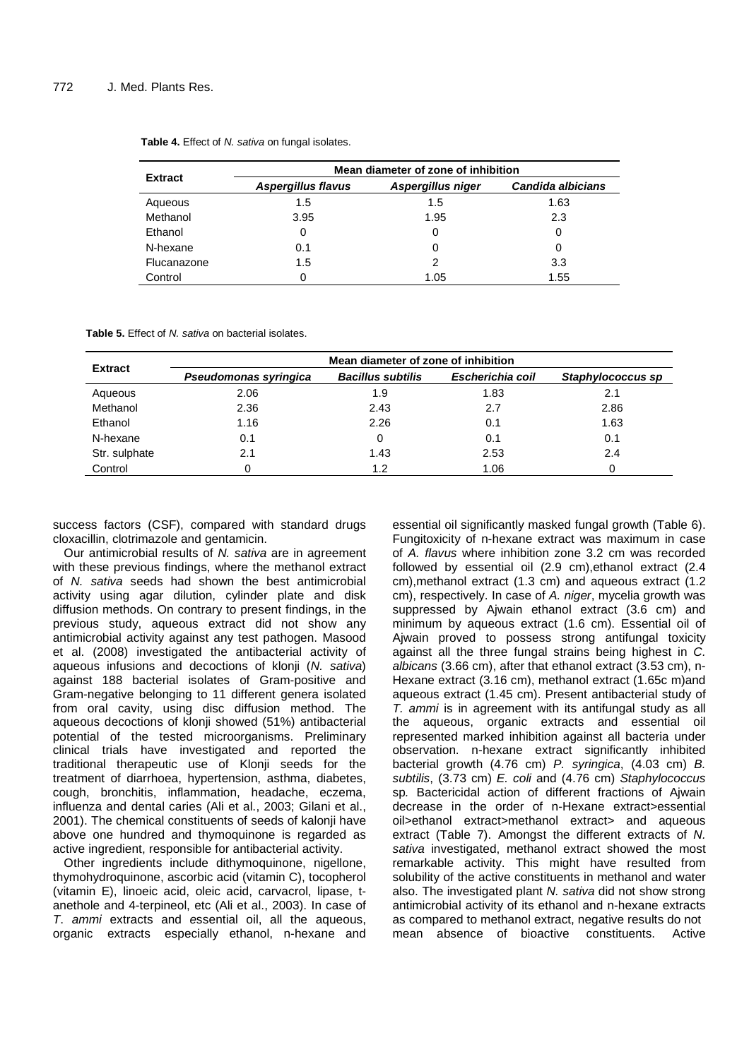| <b>Extract</b> | Mean diameter of zone of inhibition |                   |                   |  |  |
|----------------|-------------------------------------|-------------------|-------------------|--|--|
|                | <b>Aspergillus flavus</b>           | Aspergillus niger | Candida albicians |  |  |
| Aqueous        | 1.5                                 | 1.5               | 1.63              |  |  |
| Methanol       | 3.95                                | 1.95              | 2.3               |  |  |
| Ethanol        | 0                                   |                   | 0                 |  |  |
| N-hexane       | 0.1                                 |                   | 0                 |  |  |
| Flucanazone    | 1.5                                 | 2                 | 3.3               |  |  |
| Control        |                                     | 1.05              | 1.55              |  |  |

Table 4. Effect of N. sativa on fungal isolates.

**Table 5. Effect of N. sativa on bacterial isolates.** 

| <b>Extract</b> | Mean diameter of zone of inhibition |                          |                  |                   |  |
|----------------|-------------------------------------|--------------------------|------------------|-------------------|--|
|                | Pseudomonas syringica               | <b>Bacillus subtilis</b> | Escherichia coil | Staphylococcus sp |  |
| Aqueous        | 2.06                                | 1.9                      | 1.83             | 2.1               |  |
| Methanol       | 2.36                                | 2.43                     | 2.7              | 2.86              |  |
| Ethanol        | 1.16                                | 2.26                     | 0.1              | 1.63              |  |
| N-hexane       | 0.1                                 | 0                        | 0.1              | 0.1               |  |
| Str. sulphate  | 2.1                                 | 1.43                     | 2.53             | 2.4               |  |
| Control        |                                     | 1.2                      | 1.06             |                   |  |

success factors (CSF), compared with standard drugs cloxacillin, clotrimazole and gentamicin.

Our antimicrobial results of N. sativa are in agreement with these previous findings, where the methanol extract of N. sativa seeds had shown the best antimicrobial activity using agar dilution, cylinder plate and disk diffusion methods. On contrary to present findings, in the previous study, aqueous extract did not show any antimicrobial activity against any test pathogen. Masood et al. (2008) investigated the antibacterial activity of aqueous infusions and decoctions of klonji (N. sativa) against 188 bacterial isolates of Gram-positive and Gram-negative belonging to 11 different genera isolated from oral cavity, using disc diffusion method. The aqueous decoctions of klonji showed (51%) antibacterial potential of the tested microorganisms. Preliminary clinical trials have investigated and reported the traditional therapeutic use of Klonji seeds for the treatment of diarrhoea, hypertension, asthma, diabetes, cough, bronchitis, inflammation, headache, eczema, influenza and dental caries (Ali et al., 2003; Gilani et al., 2001). The chemical constituents of seeds of kalonji have above one hundred and thymoquinone is regarded as active ingredient, responsible for antibacterial activity.

Other ingredients include dithymoquinone, nigellone, thymohydroquinone, ascorbic acid (vitamin C), tocopherol (vitamin E), linoeic acid, oleic acid, carvacrol, lipase, tanethole and 4-terpineol, etc (Ali et al., 2003). In case of T. ammi extracts and essential oil, all the aqueous, organic extracts especially ethanol, n-hexane and essential oil significantly masked fungal growth (Table 6). Fungitoxicity of n-hexane extract was maximum in case of A. flavus where inhibition zone 3.2 cm was recorded followed by essential oil (2.9 cm),ethanol extract (2.4 cm),methanol extract (1.3 cm) and aqueous extract (1.2 cm), respectively. In case of A. niger, mycelia growth was suppressed by Ajwain ethanol extract (3.6 cm) and minimum by aqueous extract (1.6 cm). Essential oil of Ajwain proved to possess strong antifungal toxicity against all the three fungal strains being highest in C. albicans (3.66 cm), after that ethanol extract (3.53 cm), n-Hexane extract (3.16 cm), methanol extract (1.65c m)and aqueous extract (1.45 cm). Present antibacterial study of T. ammi is in agreement with its antifungal study as all the aqueous, organic extracts and essential oil represented marked inhibition against all bacteria under observation. n-hexane extract significantly inhibited bacterial growth (4.76 cm) P. syringica, (4.03 cm) B. subtilis, (3.73 cm) E. coli and (4.76 cm) Staphylococcus sp. Bactericidal action of different fractions of Ajwain decrease in the order of n-Hexane extract>essential oil>ethanol extract>methanol extract> and aqueous extract (Table 7). Amongst the different extracts of N. sativa investigated, methanol extract showed the most remarkable activity. This might have resulted from solubility of the active constituents in methanol and water also. The investigated plant N. sativa did not show strong antimicrobial activity of its ethanol and n-hexane extracts as compared to methanol extract, negative results do not mean absence of bioactive constituents. Active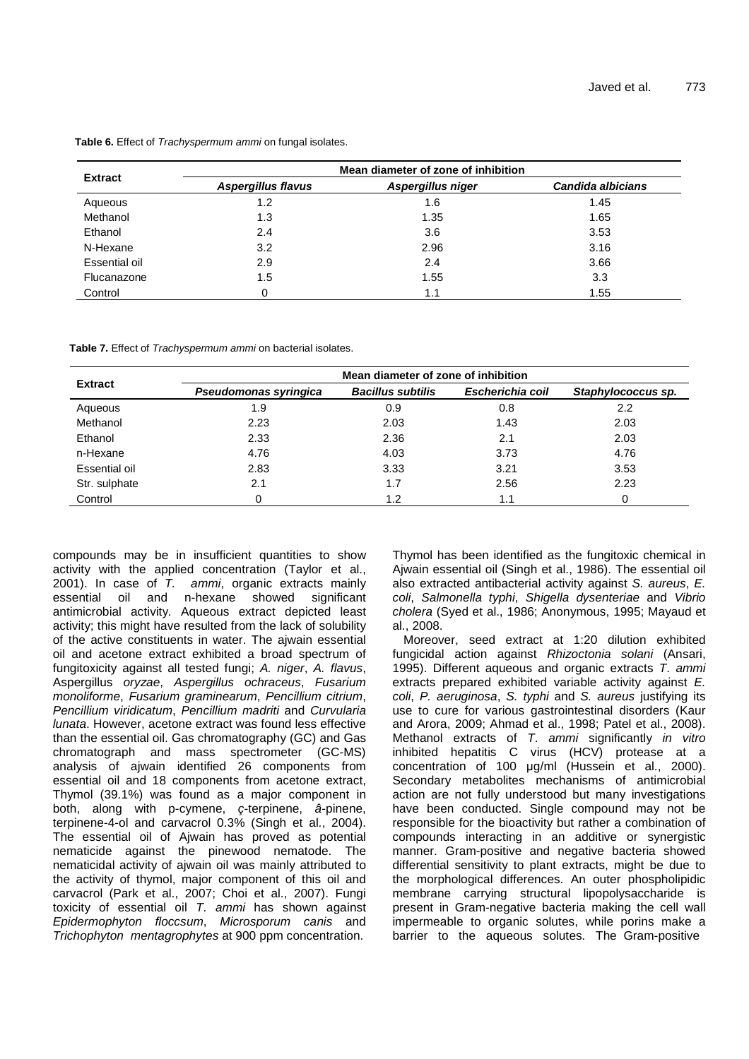|                |                           | Mean diameter of zone of inhibition |                   |
|----------------|---------------------------|-------------------------------------|-------------------|
| <b>Extract</b> | <b>Aspergillus flavus</b> | Aspergillus niger                   | Candida albicians |
| Aqueous        | 1.2                       | 1.6                                 | 1.45              |
| Methanol       | 1.3                       | 1.35                                | 1.65              |
| Ethanol        | 2.4                       | 3.6                                 | 3.53              |
| N-Hexane       | 3.2                       | 2.96                                | 3.16              |
| Essential oil  | 2.9                       | 2.4                                 | 3.66              |
| Flucanazone    | 1.5                       | 1.55                                | 3.3               |
| Control        |                           | 1.1                                 | 1.55              |

**Table 6.** Effect of Trachyspermum ammi on fungal isolates.

**Table 7.** Effect of Trachyspermum ammi on bacterial isolates.

| <b>Extract</b> | Mean diameter of zone of inhibition |                          |                  |                    |  |
|----------------|-------------------------------------|--------------------------|------------------|--------------------|--|
|                | Pseudomonas syringica               | <b>Bacillus subtilis</b> | Escherichia coil | Staphylococcus sp. |  |
| Aqueous        | 1.9                                 | 0.9                      | 0.8              | 2.2                |  |
| Methanol       | 2.23                                | 2.03                     | 1.43             | 2.03               |  |
| Ethanol        | 2.33                                | 2.36                     | 2.1              | 2.03               |  |
| n-Hexane       | 4.76                                | 4.03                     | 3.73             | 4.76               |  |
| Essential oil  | 2.83                                | 3.33                     | 3.21             | 3.53               |  |
| Str. sulphate  | 2.1                                 | 1.7                      | 2.56             | 2.23               |  |
| Control        | 0                                   | 1.2                      | 1.1              |                    |  |

compounds may be in insufficient quantities to show activity with the applied concentration (Taylor et al., 2001). In case of  $T$ . ammi, organic extracts mainly essential oil and n-hexane showed significant antimicrobial activity. Aqueous extract depicted least activity; this might have resulted from the lack of solubility of the active constituents in water. The ajwain essential oil and acetone extract exhibited a broad spectrum of fungitoxicity against all tested fungi; A. niger, A. flavus, Aspergillus oryzae, Aspergillus ochraceus, Fusarium monoliforme, Fusarium graminearum, Pencillium citrium, Pencillium viridicatum, Pencillium madriti and Curvularia lunata. However, acetone extract was found less effective than the essential oil. Gas chromatography (GC) and Gas chromatograph and mass spectrometer (GC-MS) analysis of ajwain identified 26 components from essential oil and 18 components from acetone extract, Thymol (39.1%) was found as a major component in both, along with p-cymene, ç-terpinene, â-pinene, terpinene-4-ol and carvacrol 0.3% (Singh et al., 2004). The essential oil of Ajwain has proved as potential nematicide against the pinewood nematode. The nematicidal activity of ajwain oil was mainly attributed to the activity of thymol, major component of this oil and carvacrol (Park et al., 2007; Choi et al., 2007). Fungi toxicity of essential oil T. ammi has shown against Epidermophyton floccsum, Microsporum canis and Trichophyton mentagrophytes at 900 ppm concentration.

Thymol has been identified as the fungitoxic chemical in Ajwain essential oil (Singh et al., 1986). The essential oil also extracted antibacterial activity against S. aureus, E. coli, Salmonella typhi, Shigella dysenteriae and Vibrio cholera (Syed et al., 1986; Anonymous, 1995; Mayaud et al., 2008.

Moreover, seed extract at 1:20 dilution exhibited fungicidal action against Rhizoctonia solani (Ansari, 1995). Different aqueous and organic extracts T. ammi extracts prepared exhibited variable activity against E. coli, P. aeruginosa, S. typhi and S. aureus justifying its use to cure for various gastrointestinal disorders (Kaur and Arora, 2009; Ahmad et al., 1998; Patel et al., 2008). Methanol extracts of T. ammi significantly in vitro inhibited hepatitis C virus (HCV) protease at a concentration of 100 µg/ml (Hussein et al., 2000). Secondary metabolites mechanisms of antimicrobial action are not fully understood but many investigations have been conducted. Single compound may not be responsible for the bioactivity but rather a combination of compounds interacting in an additive or synergistic manner. Gram-positive and negative bacteria showed differential sensitivity to plant extracts, might be due to the morphological differences. An outer phospholipidic membrane carrying structural lipopolysaccharide is present in Gram-negative bacteria making the cell wall impermeable to organic solutes, while porins make a barrier to the aqueous solutes. The Gram-positive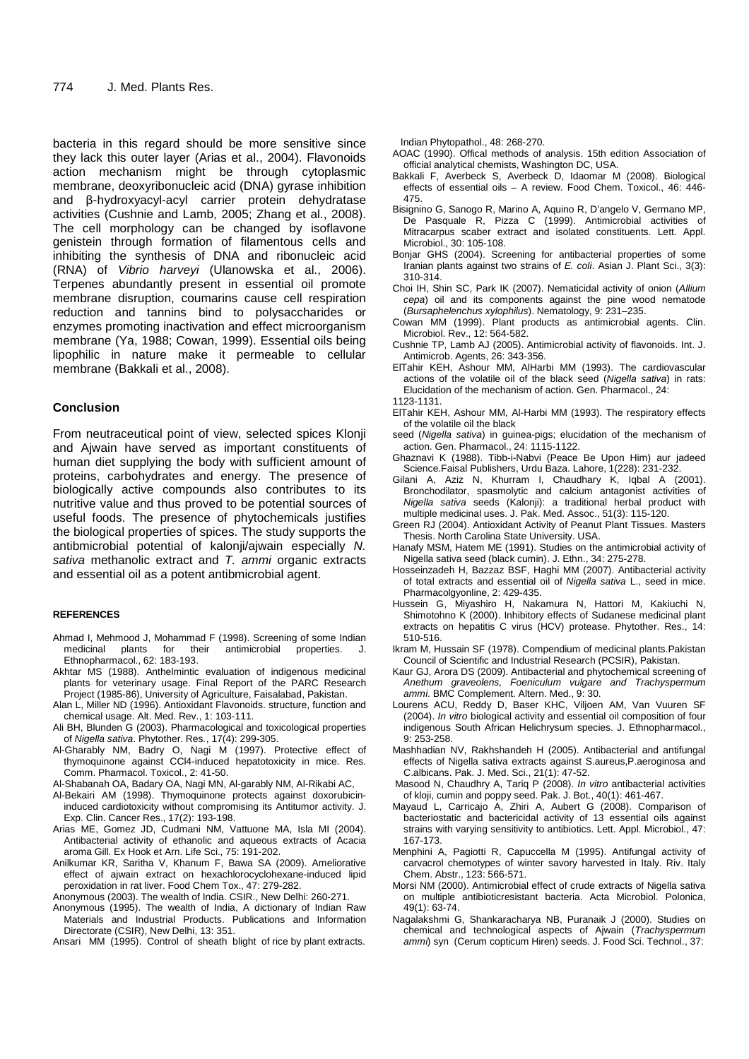bacteria in this regard should be more sensitive since they lack this outer layer (Arias et al., 2004). Flavonoids action mechanism might be through cytoplasmic membrane, deoxyribonucleic acid (DNA) gyrase inhibition and β-hydroxyacyl-acyl carrier protein dehydratase activities (Cushnie and Lamb, 2005; Zhang et al., 2008). The cell morphology can be changed by isoflavone genistein through formation of filamentous cells and inhibiting the synthesis of DNA and ribonucleic acid (RNA) of Vibrio harveyi (Ulanowska et al., 2006). Terpenes abundantly present in essential oil promote membrane disruption, coumarins cause cell respiration reduction and tannins bind to polysaccharides or enzymes promoting inactivation and effect microorganism membrane (Ya, 1988; Cowan, 1999). Essential oils being lipophilic in nature make it permeable to cellular membrane (Bakkali et al., 2008).

## **Conclusion**

From neutraceutical point of view, selected spices Klonji and Ajwain have served as important constituents of human diet supplying the body with sufficient amount of proteins, carbohydrates and energy. The presence of biologically active compounds also contributes to its nutritive value and thus proved to be potential sources of useful foods. The presence of phytochemicals justifies the biological properties of spices. The study supports the antibmicrobial potential of kalonji/ajwain especially N. sativa methanolic extract and T. ammi organic extracts and essential oil as a potent antibmicrobial agent.

#### **REFERENCES**

- Ahmad I, Mehmood J, Mohammad F (1998). Screening of some Indian medicinal plants for their antimicrobial properties. Ethnopharmacol., 62: 183-193.
- Akhtar MS (1988). Anthelmintic evaluation of indigenous medicinal plants for veterinary usage. Final Report of the PARC Research Project (1985-86), University of Agriculture, Faisalabad, Pakistan.
- Alan L, Miller ND (1996). Antioxidant Flavonoids. structure, function and chemical usage. Alt. Med. Rev., 1: 103-111.
- Ali BH, Blunden G (2003). Pharmacological and toxicological properties of Nigella sativa. Phytother. Res., 17(4): 299-305.
- Al-Gharably NM, Badry O, Nagi M (1997). Protective effect of thymoquinone against CCl4-induced hepatotoxicity in mice. Res. Comm. Pharmacol. Toxicol., 2: 41-50.
- Al-Shabanah OA, Badary OA, Nagi MN, Al-garably NM, Al-Rikabi AC,
- Al-Bekairi AM (1998). Thymoquinone protects against doxorubicininduced cardiotoxicity without compromising its Antitumor activity. J. Exp. Clin. Cancer Res., 17(2): 193-198.
- Arias ME, Gomez JD, Cudmani NM, Vattuone MA, Isla MI (2004). Antibacterial activity of ethanolic and aqueous extracts of Acacia aroma Gill. Ex Hook et Arn. Life Sci., 75: 191-202.
- Anilkumar KR, Saritha V, Khanum F, Bawa SA (2009). Ameliorative effect of ajwain extract on hexachlorocyclohexane-induced lipid peroxidation in rat liver. Food Chem Tox., 47: 279-282.
- Anonymous (2003). The wealth of India. CSIR., New Delhi: 260-271.
- Anonymous (1995). The wealth of India, A dictionary of Indian Raw Materials and Industrial Products. Publications and Information Directorate (CSIR), New Delhi, 13: 351.
- Ansari MM (1995). Control of sheath blight of rice by plant extracts.

Indian Phytopathol., 48: 268-270.

- AOAC (1990). Offical methods of analysis. 15th edition Association of official analytical chemists, Washington DC, USA.
- Bakkali F, Averbeck S, Averbeck D, Idaomar M (2008). Biological effects of essential oils – A review. Food Chem. Toxicol., 46: 446- 475.
- Bisignino G, Sanogo R, Marino A, Aquino R, D'angelo V, Germano MP, De Pasquale R, Pizza C (1999). Antimicrobial activities of Mitracarpus scaber extract and isolated constituents. Lett. Appl. Microbiol., 30: 105-108.
- Bonjar GHS (2004). Screening for antibacterial properties of some Iranian plants against two strains of E. coli. Asian J. Plant Sci., 3(3): 310-314.
- Choi IH, Shin SC, Park IK (2007). Nematicidal activity of onion (Allium cepa) oil and its components against the pine wood nematode (Bursaphelenchus xylophilus). Nematology, 9: 231–235.
- Cowan MM (1999). Plant products as antimicrobial agents. Clin. Microbiol. Rev., 12: 564-582.
- Cushnie TP, Lamb AJ (2005). Antimicrobial activity of flavonoids. Int. J. Antimicrob. Agents, 26: 343-356.
- ElTahir KEH, Ashour MM, AlHarbi MM (1993). The cardiovascular actions of the volatile oil of the black seed (Nigella sativa) in rats: Elucidation of the mechanism of action. Gen. Pharmacol., 24: 1123-1131.
- ElTahir KEH, Ashour MM, Al-Harbi MM (1993). The respiratory effects
- of the volatile oil the black seed (Nigella sativa) in guinea-pigs; elucidation of the mechanism of action. Gen. Pharmacol., 24: 1115-1122.
- Ghaznavi K (1988). Tibb-i-Nabvi (Peace Be Upon Him) aur jadeed Science.Faisal Publishers, Urdu Baza. Lahore, 1(228): 231-232.
- Gilani A, Aziz N, Khurram I, Chaudhary K, Iqbal A (2001). Bronchodilator, spasmolytic and calcium antagonist activities of Nigella sativa seeds (Kalonji): a traditional herbal product with multiple medicinal uses. J. Pak. Med. Assoc., 51(3): 115-120.
- Green RJ (2004). Antioxidant Activity of Peanut Plant Tissues. Masters Thesis. North Carolina State University. USA.
- Hanafy MSM, Hatem ME (1991). Studies on the antimicrobial activity of Nigella sativa seed (black cumin). J. Ethn., 34: 275-278.
- Hosseinzadeh H, Bazzaz BSF, Haghi MM (2007). Antibacterial activity of total extracts and essential oil of Nigella sativa L., seed in mice. Pharmacolgyonline, 2: 429-435.
- Hussein G, Miyashiro H, Nakamura N, Hattori M, Kakiuchi N, Shimotohno K (2000). Inhibitory effects of Sudanese medicinal plant extracts on hepatitis C virus (HCV) protease. Phytother. Res., 14: 510-516.
- Ikram M, Hussain SF (1978). Compendium of medicinal plants.Pakistan Council of Scientific and Industrial Research (PCSIR), Pakistan.
- Kaur GJ, Arora DS (2009). Antibacterial and phytochemical screening of Anethum graveolens, Foeniculum vulgare and Trachyspermum ammi. BMC Complement. Altern. Med., 9: 30.
- Lourens ACU, Reddy D, Baser KHC, Viljoen AM, Van Vuuren SF (2004). In vitro biological activity and essential oil composition of four indigenous South African Helichrysum species. J. Ethnopharmacol., 9: 253-258.
- Mashhadian NV, Rakhshandeh H (2005). Antibacterial and antifungal effects of Nigella sativa extracts against S.aureus,P.aeroginosa and C.albicans. Pak. J. Med. Sci., 21(1): 47-52.
- Masood N, Chaudhry A, Tariq P (2008). In vitro antibacterial activities of kloji, cumin and poppy seed. Pak. J. Bot., 40(1): 461-467.
- Mayaud L, Carricajo A, Zhiri A, Aubert G (2008). Comparison of bacteriostatic and bactericidal activity of 13 essential oils against strains with varying sensitivity to antibiotics. Lett. Appl. Microbiol., 47: 167-173.
- Menphini A, Pagiotti R, Capuccella M (1995). Antifungal activity of carvacrol chemotypes of winter savory harvested in Italy. Riv. Italy Chem. Abstr., 123: 566-571.
- Morsi NM (2000). Antimicrobial effect of crude extracts of Nigella sativa on multiple antibioticresistant bacteria. Acta Microbiol. Polonica, 49(1): 63-74.
- Nagalakshmi G, Shankaracharya NB, Puranaik J (2000). Studies on chemical and technological aspects of Ajwain (Trachyspermum ammi) syn (Cerum copticum Hiren) seeds. J. Food Sci. Technol., 37: